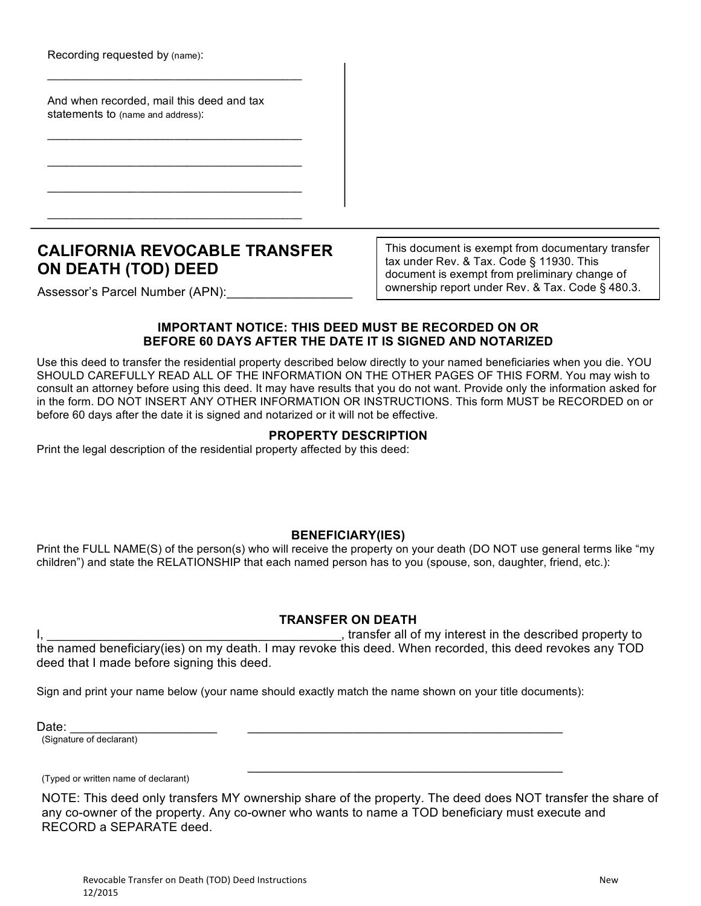Recording requested by (name):

And when recorded, mail this deed and tax statements to (name and address):

 $\mathcal{L}_\text{max}$  , and the contract of the contract of the contract of the contract of the contract of the contract of the contract of the contract of the contract of the contract of the contract of the contract of the contr

 $\mathcal{L}_\text{max}$  , and the contract of the contract of the contract of the contract of the contract of the contract of the contract of the contract of the contract of the contract of the contract of the contract of the contr

\_\_\_\_\_\_\_\_\_\_\_\_\_\_\_\_\_\_\_\_\_\_\_\_\_\_\_\_\_\_\_\_\_\_\_\_\_\_\_\_

 $\mathcal{L}_\text{max}$  , and the contract of the contract of the contract of the contract of the contract of the contract of the contract of the contract of the contract of the contract of the contract of the contract of the contr

\_\_\_\_\_\_\_\_\_\_\_\_\_\_\_\_\_\_\_\_\_\_\_\_\_\_\_\_\_\_\_\_\_\_\_\_\_\_\_\_

# **CALIFORNIA REVOCABLE TRANSFER ON DEATH (TOD) DEED**

This document is exempt from documentary transfer tax under Rev. & Tax. Code § 11930. This document is exempt from preliminary change of ownership report under Rev. & Tax. Code § 480.3.

Assessor's Parcel Number (APN):

## **IMPORTANT NOTICE: THIS DEED MUST BE RECORDED ON OR BEFORE 60 DAYS AFTER THE DATE IT IS SIGNED AND NOTARIZED**

Use this deed to transfer the residential property described below directly to your named beneficiaries when you die. YOU SHOULD CAREFULLY READ ALL OF THE INFORMATION ON THE OTHER PAGES OF THIS FORM. You may wish to consult an attorney before using this deed. It may have results that you do not want. Provide only the information asked for in the form. DO NOT INSERT ANY OTHER INFORMATION OR INSTRUCTIONS. This form MUST be RECORDED on or before 60 days after the date it is signed and notarized or it will not be effective.

#### **PROPERTY DESCRIPTION**

Print the legal description of the residential property affected by this deed:

## **BENEFICIARY(IES)**

Print the FULL NAME(S) of the person(s) who will receive the property on your death (DO NOT use general terms like "my children") and state the RELATIONSHIP that each named person has to you (spouse, son, daughter, friend, etc.):

## **TRANSFER ON DEATH**

I, \_\_\_\_\_\_\_\_\_\_\_\_\_\_\_\_\_\_\_\_\_\_\_\_\_\_\_\_\_\_\_\_\_\_\_\_\_\_\_\_\_\_, transfer all of my interest in the described property to

the named beneficiary(ies) on my death. I may revoke this deed. When recorded, this deed revokes any TOD deed that I made before signing this deed.

Sign and print your name below (your name should exactly match the name shown on your title documents):

Date: \_\_\_\_\_\_\_\_\_\_\_\_\_\_\_\_\_\_\_\_\_ \_\_\_\_\_\_\_\_\_\_\_\_\_\_\_\_\_\_\_\_\_\_\_\_\_\_\_\_\_\_\_\_\_\_\_\_\_\_\_\_\_\_\_\_\_

(Signature of declarant)

(Typed or written name of declarant)

NOTE: This deed only transfers MY ownership share of the property. The deed does NOT transfer the share of any co-owner of the property. Any co-owner who wants to name a TOD beneficiary must execute and RECORD a SEPARATE deed.

 $\mathcal{L}_\mathcal{L}$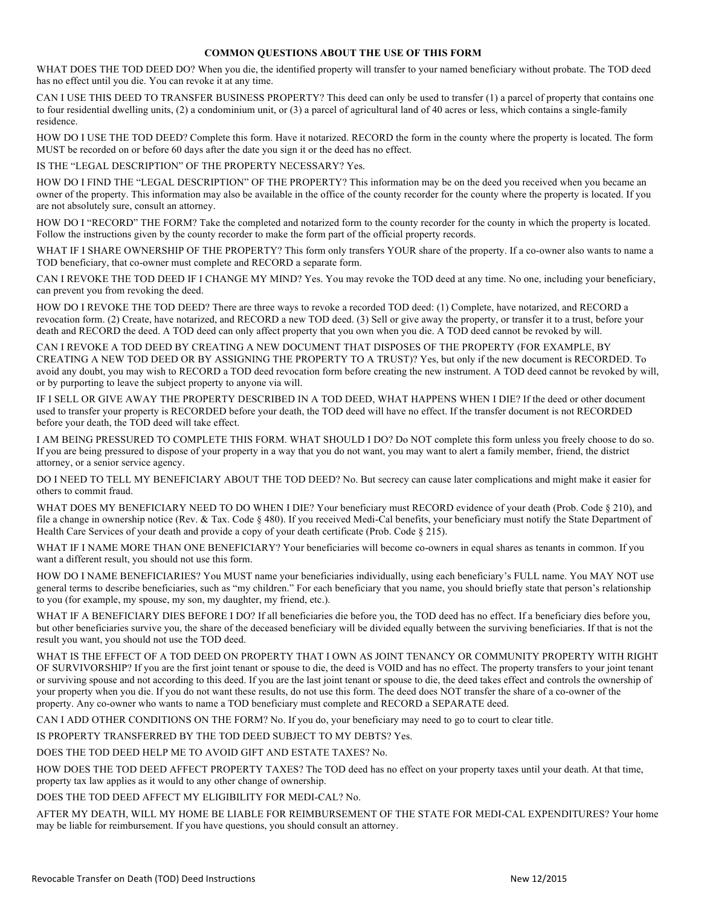#### **COMMON QUESTIONS ABOUT THE USE OF THIS FORM**

WHAT DOES THE TOD DEED DO? When you die, the identified property will transfer to your named beneficiary without probate. The TOD deed has no effect until you die. You can revoke it at any time.

CAN I USE THIS DEED TO TRANSFER BUSINESS PROPERTY? This deed can only be used to transfer (1) a parcel of property that contains one to four residential dwelling units, (2) a condominium unit, or (3) a parcel of agricultural land of 40 acres or less, which contains a single-family residence.

HOW DO I USE THE TOD DEED? Complete this form. Have it notarized. RECORD the form in the county where the property is located. The form MUST be recorded on or before 60 days after the date you sign it or the deed has no effect.

IS THE "LEGAL DESCRIPTION" OF THE PROPERTY NECESSARY? Yes.

HOW DO I FIND THE "LEGAL DESCRIPTION" OF THE PROPERTY? This information may be on the deed you received when you became an owner of the property. This information may also be available in the office of the county recorder for the county where the property is located. If you are not absolutely sure, consult an attorney.

HOW DO I "RECORD" THE FORM? Take the completed and notarized form to the county recorder for the county in which the property is located. Follow the instructions given by the county recorder to make the form part of the official property records.

WHAT IF I SHARE OWNERSHIP OF THE PROPERTY? This form only transfers YOUR share of the property. If a co-owner also wants to name a TOD beneficiary, that co-owner must complete and RECORD a separate form.

CAN I REVOKE THE TOD DEED IF I CHANGE MY MIND? Yes. You may revoke the TOD deed at any time. No one, including your beneficiary, can prevent you from revoking the deed.

HOW DO I REVOKE THE TOD DEED? There are three ways to revoke a recorded TOD deed: (1) Complete, have notarized, and RECORD a revocation form. (2) Create, have notarized, and RECORD a new TOD deed. (3) Sell or give away the property, or transfer it to a trust, before your death and RECORD the deed. A TOD deed can only affect property that you own when you die. A TOD deed cannot be revoked by will.

CAN I REVOKE A TOD DEED BY CREATING A NEW DOCUMENT THAT DISPOSES OF THE PROPERTY (FOR EXAMPLE, BY CREATING A NEW TOD DEED OR BY ASSIGNING THE PROPERTY TO A TRUST)? Yes, but only if the new document is RECORDED. To avoid any doubt, you may wish to RECORD a TOD deed revocation form before creating the new instrument. A TOD deed cannot be revoked by will, or by purporting to leave the subject property to anyone via will.

IF I SELL OR GIVE AWAY THE PROPERTY DESCRIBED IN A TOD DEED, WHAT HAPPENS WHEN I DIE? If the deed or other document used to transfer your property is RECORDED before your death, the TOD deed will have no effect. If the transfer document is not RECORDED before your death, the TOD deed will take effect.

I AM BEING PRESSURED TO COMPLETE THIS FORM. WHAT SHOULD I DO? Do NOT complete this form unless you freely choose to do so. If you are being pressured to dispose of your property in a way that you do not want, you may want to alert a family member, friend, the district attorney, or a senior service agency.

DO I NEED TO TELL MY BENEFICIARY ABOUT THE TOD DEED? No. But secrecy can cause later complications and might make it easier for others to commit fraud.

WHAT DOES MY BENEFICIARY NEED TO DO WHEN I DIE? Your beneficiary must RECORD evidence of your death (Prob. Code § 210), and file a change in ownership notice (Rev. & Tax. Code § 480). If you received Medi-Cal benefits, your beneficiary must notify the State Department of Health Care Services of your death and provide a copy of your death certificate (Prob. Code § 215).

WHAT IF I NAME MORE THAN ONE BENEFICIARY? Your beneficiaries will become co-owners in equal shares as tenants in common. If you want a different result, you should not use this form.

HOW DO I NAME BENEFICIARIES? You MUST name your beneficiaries individually, using each beneficiary's FULL name. You MAY NOT use general terms to describe beneficiaries, such as "my children." For each beneficiary that you name, you should briefly state that person's relationship to you (for example, my spouse, my son, my daughter, my friend, etc.).

WHAT IF A BENEFICIARY DIES BEFORE I DO? If all beneficiaries die before you, the TOD deed has no effect. If a beneficiary dies before you, but other beneficiaries survive you, the share of the deceased beneficiary will be divided equally between the surviving beneficiaries. If that is not the result you want, you should not use the TOD deed.

WHAT IS THE EFFECT OF A TOD DEED ON PROPERTY THAT I OWN AS JOINT TENANCY OR COMMUNITY PROPERTY WITH RIGHT OF SURVIVORSHIP? If you are the first joint tenant or spouse to die, the deed is VOID and has no effect. The property transfers to your joint tenant or surviving spouse and not according to this deed. If you are the last joint tenant or spouse to die, the deed takes effect and controls the ownership of your property when you die. If you do not want these results, do not use this form. The deed does NOT transfer the share of a co-owner of the property. Any co-owner who wants to name a TOD beneficiary must complete and RECORD a SEPARATE deed.

CAN I ADD OTHER CONDITIONS ON THE FORM? No. If you do, your beneficiary may need to go to court to clear title.

IS PROPERTY TRANSFERRED BY THE TOD DEED SUBJECT TO MY DEBTS? Yes.

DOES THE TOD DEED HELP ME TO AVOID GIFT AND ESTATE TAXES? No.

HOW DOES THE TOD DEED AFFECT PROPERTY TAXES? The TOD deed has no effect on your property taxes until your death. At that time, property tax law applies as it would to any other change of ownership.

DOES THE TOD DEED AFFECT MY ELIGIBILITY FOR MEDI-CAL? No.

AFTER MY DEATH, WILL MY HOME BE LIABLE FOR REIMBURSEMENT OF THE STATE FOR MEDI-CAL EXPENDITURES? Your home may be liable for reimbursement. If you have questions, you should consult an attorney.